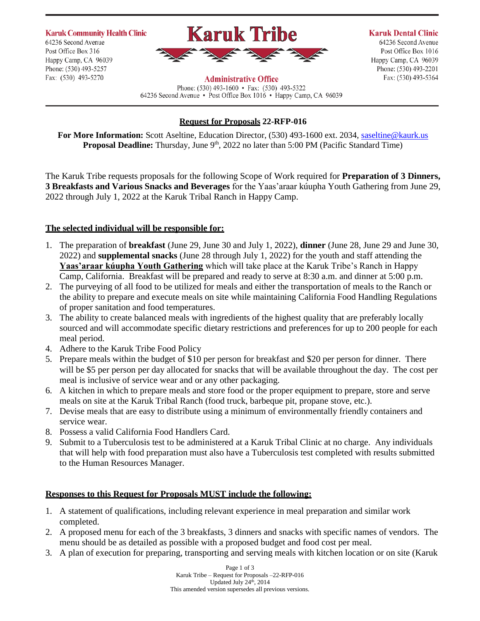**Karuk Community Health Clinic** 64236 Second Avenue Post Office Box 316 Happy Camp, CA 96039 Phone: (530) 493-5257 Fax: (530) 493-5270



#### **Administrative Office**

Phone: (530) 493-1600 • Fax: (530) 493-5322 64236 Second Avenue • Post Office Box 1016 • Happy Camp, CA 96039 **Karuk Dental Clinic** 64236 Second Avenue Post Office Box 1016 Happy Camp, CA 96039 Phone: (530) 493-2201

Fax: (530) 493-5364

## **Request for Proposals 22-RFP-016**

**For More Information:** Scott Aseltine, Education Director, (530) 493-1600 ext. 2034[, saseltine@kaurk.us](mailto:saseltine@kaurk.us) **Proposal Deadline:** Thursday, June 9<sup>th</sup>, 2022 no later than 5:00 PM (Pacific Standard Time)

The Karuk Tribe requests proposals for the following Scope of Work required for **Preparation of 3 Dinners, 3 Breakfasts and Various Snacks and Beverages** for the Yaas'araar kúupha Youth Gathering from June 29, 2022 through July 1, 2022 at the Karuk Tribal Ranch in Happy Camp.

## **The selected individual will be responsible for:**

- 1. The preparation of **breakfast** (June 29, June 30 and July 1, 2022), **dinner** (June 28, June 29 and June 30, 2022) and **supplemental snacks** (June 28 through July 1, 2022) for the youth and staff attending the **Yaas'araar kúupha Youth Gathering** which will take place at the Karuk Tribe's Ranch in Happy Camp, California. Breakfast will be prepared and ready to serve at 8:30 a.m. and dinner at 5:00 p.m.
- 2. The purveying of all food to be utilized for meals and either the transportation of meals to the Ranch or the ability to prepare and execute meals on site while maintaining California Food Handling Regulations of proper sanitation and food temperatures.
- 3. The ability to create balanced meals with ingredients of the highest quality that are preferably locally sourced and will accommodate specific dietary restrictions and preferences for up to 200 people for each meal period.
- 4. Adhere to the Karuk Tribe Food Policy
- 5. Prepare meals within the budget of \$10 per person for breakfast and \$20 per person for dinner. There will be \$5 per person per day allocated for snacks that will be available throughout the day. The cost per meal is inclusive of service wear and or any other packaging.
- 6. A kitchen in which to prepare meals and store food or the proper equipment to prepare, store and serve meals on site at the Karuk Tribal Ranch (food truck, barbeque pit, propane stove, etc.).
- 7. Devise meals that are easy to distribute using a minimum of environmentally friendly containers and service wear.
- 8. Possess a valid California Food Handlers Card.
- 9. Submit to a Tuberculosis test to be administered at a Karuk Tribal Clinic at no charge. Any individuals that will help with food preparation must also have a Tuberculosis test completed with results submitted to the Human Resources Manager.

## **Responses to this Request for Proposals MUST include the following:**

- 1. A statement of qualifications, including relevant experience in meal preparation and similar work completed.
- 2. A proposed menu for each of the 3 breakfasts, 3 dinners and snacks with specific names of vendors. The menu should be as detailed as possible with a proposed budget and food cost per meal.
- 3. A plan of execution for preparing, transporting and serving meals with kitchen location or on site (Karuk

Page 1 of 3 Karuk Tribe – Request for Proposals –22-RFP-016 Updated July 24<sup>th</sup>, 2014 This amended version supersedes all previous versions.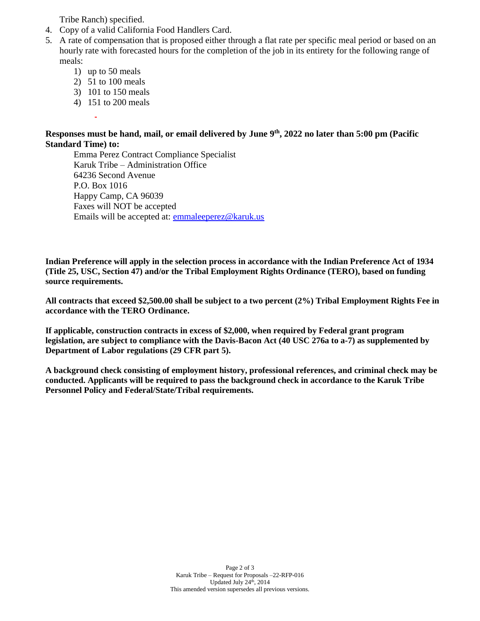Tribe Ranch) specified.

- 4. Copy of a valid California Food Handlers Card.
- 5. A rate of compensation that is proposed either through a flat rate per specific meal period or based on an hourly rate with forecasted hours for the completion of the job in its entirety for the following range of meals:
	- 1) up to 50 meals
	- 2) 51 to 100 meals
	- 3) 101 to 150 meals
	- 4) 151 to 200 meals

### **Responses must be hand, mail, or email delivered by June 9 th, 2022 no later than 5:00 pm (Pacific Standard Time) to:**

Emma Perez Contract Compliance Specialist Karuk Tribe – Administration Office 64236 Second Avenue P.O. Box 1016 Happy Camp, CA 96039 Faxes will NOT be accepted Emails will be accepted at: [emmaleeperez@karuk.us](mailto:emmaleeperez@karuk.us)

**Indian Preference will apply in the selection process in accordance with the Indian Preference Act of 1934 (Title 25, USC, Section 47) and/or the Tribal Employment Rights Ordinance (TERO), based on funding source requirements.**

**All contracts that exceed \$2,500.00 shall be subject to a two percent (2%) Tribal Employment Rights Fee in accordance with the TERO Ordinance.**

**If applicable, construction contracts in excess of \$2,000, when required by Federal grant program legislation, are subject to compliance with the Davis-Bacon Act (40 USC 276a to a-7) as supplemented by Department of Labor regulations (29 CFR part 5).**

**A background check consisting of employment history, professional references, and criminal check may be conducted. Applicants will be required to pass the background check in accordance to the Karuk Tribe Personnel Policy and Federal/State/Tribal requirements.**